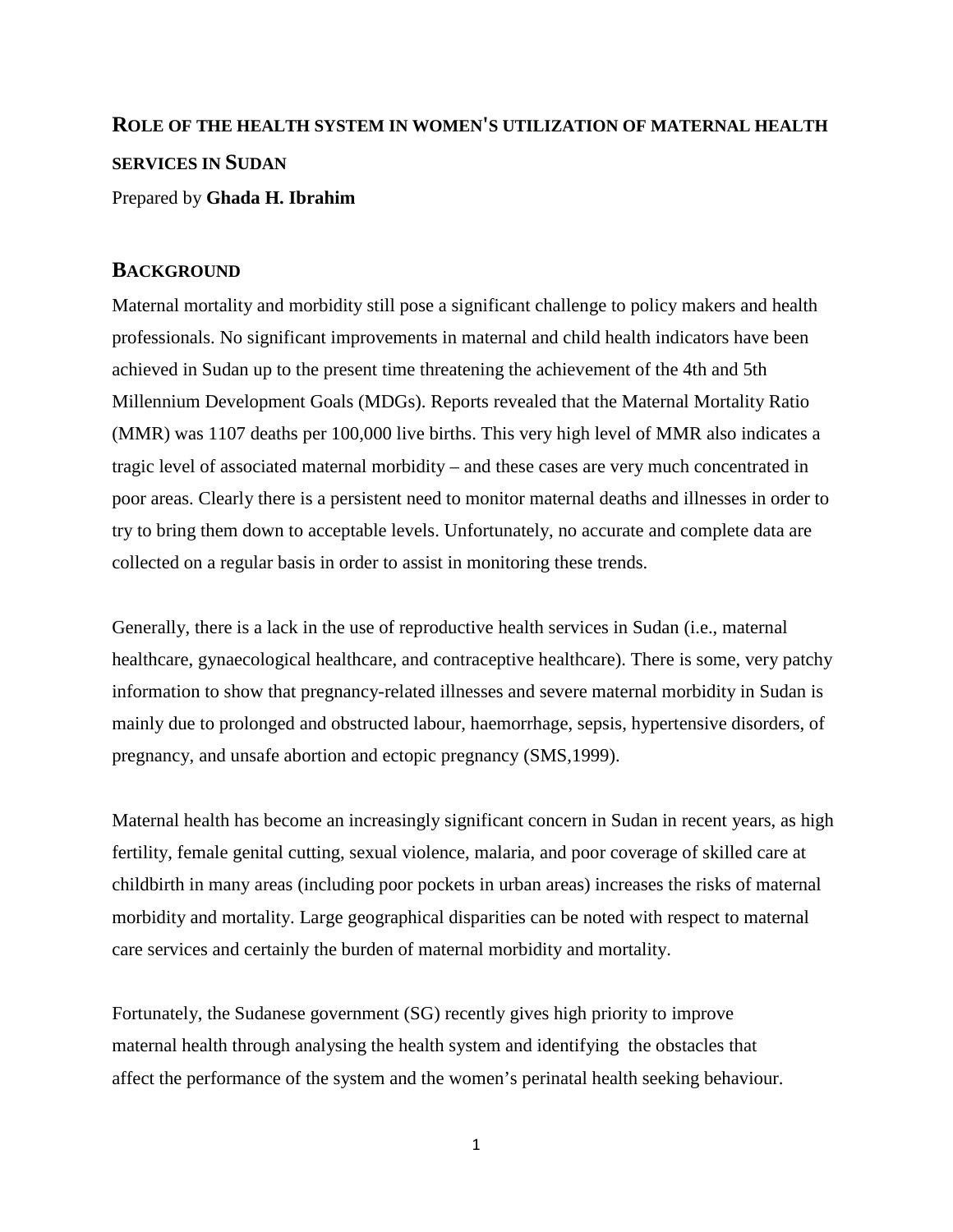# **ROLE OF THE HEALTH SYSTEM IN WOMEN'S UTILIZATION OF MATERNAL HEALTH SERVICES IN SUDAN**

Prepared by **Ghada H. Ibrahim**

### **BACKGROUND**

Maternal mortality and morbidity still pose a significant challenge to policy makers and health professionals. No significant improvements in maternal and child health indicators have been achieved in Sudan up to the present time threatening the achievement of the 4th and 5th Millennium Development Goals (MDGs). Reports revealed that the Maternal Mortality Ratio (MMR) was 1107 deaths per 100,000 live births. This very high level of MMR also indicates a tragic level of associated maternal morbidity – and these cases are very much concentrated in poor areas. Clearly there is a persistent need to monitor maternal deaths and illnesses in order to try to bring them down to acceptable levels. Unfortunately, no accurate and complete data are collected on a regular basis in order to assist in monitoring these trends.

Generally, there is a lack in the use of reproductive health services in Sudan (i.e., maternal healthcare, gynaecological healthcare, and contraceptive healthcare). There is some, very patchy information to show that pregnancy-related illnesses and severe maternal morbidity in Sudan is mainly due to prolonged and obstructed labour, haemorrhage, sepsis, hypertensive disorders, of pregnancy, and unsafe abortion and ectopic pregnancy (SMS,1999).

Maternal health has become an increasingly significant concern in Sudan in recent years, as high fertility, female genital cutting, sexual violence, malaria, and poor coverage of skilled care at childbirth in many areas (including poor pockets in urban areas) increases the risks of maternal morbidity and mortality. Large geographical disparities can be noted with respect to maternal care services and certainly the burden of maternal morbidity and mortality.

Fortunately, the Sudanese government (SG) recently gives high priority to improve maternal health through analysing the health system and identifying the obstacles that affect the performance of the system and the women's perinatal health seeking behaviour.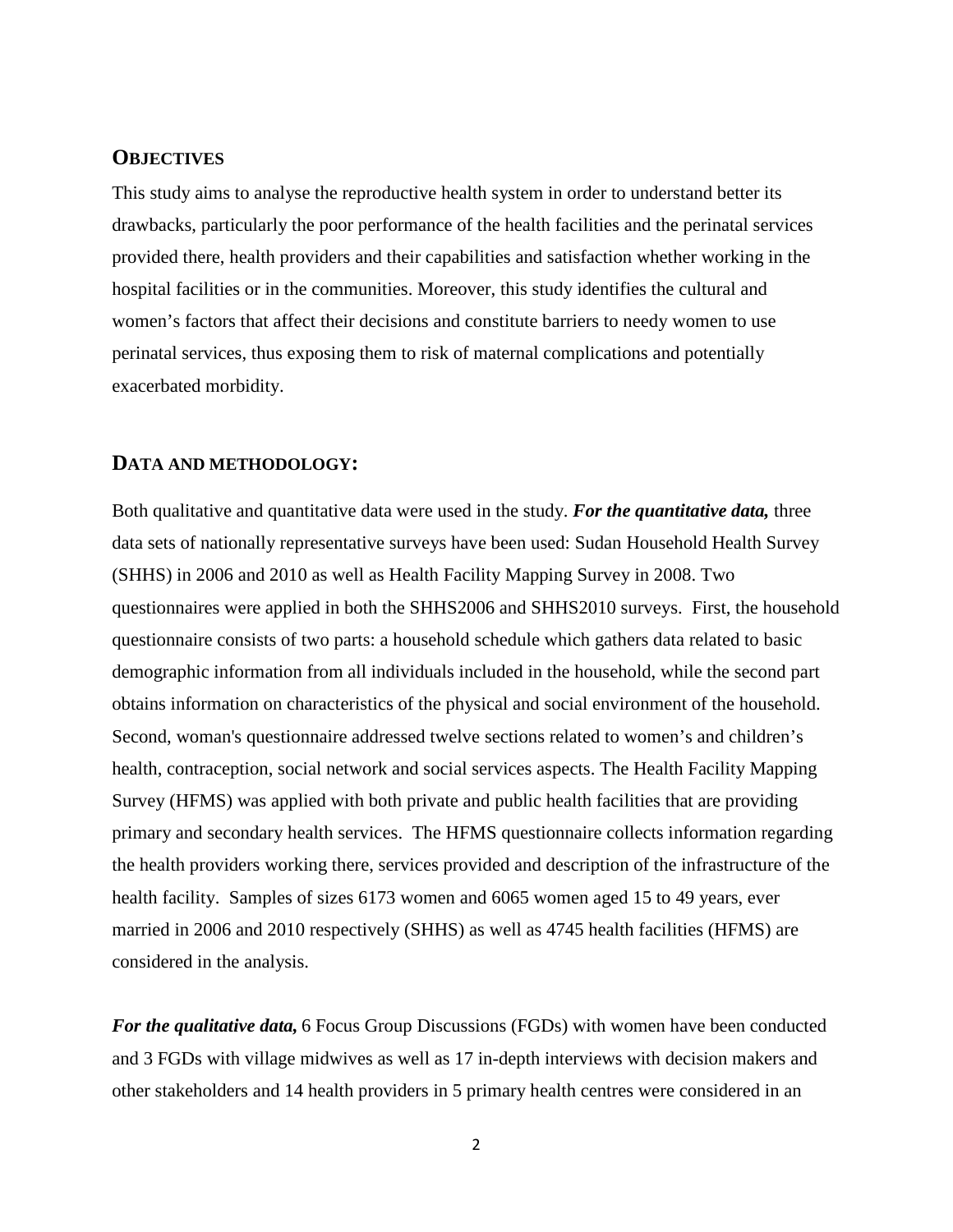## **OBJECTIVES**

This study aims to analyse the reproductive health system in order to understand better its drawbacks, particularly the poor performance of the health facilities and the perinatal services provided there, health providers and their capabilities and satisfaction whether working in the hospital facilities or in the communities. Moreover, this study identifies the cultural and women's factors that affect their decisions and constitute barriers to needy women to use perinatal services, thus exposing them to risk of maternal complications and potentially exacerbated morbidity.

#### **DATA AND METHODOLOGY:**

Both qualitative and quantitative data were used in the study. *For the quantitative data,* three data sets of nationally representative surveys have been used: Sudan Household Health Survey (SHHS) in 2006 and 2010 as well as Health Facility Mapping Survey in 2008. Two questionnaires were applied in both the SHHS2006 and SHHS2010 surveys. First, the household questionnaire consists of two parts: a household schedule which gathers data related to basic demographic information from all individuals included in the household, while the second part obtains information on characteristics of the physical and social environment of the household. Second, woman's questionnaire addressed twelve sections related to women's and children's health, contraception, social network and social services aspects. The Health Facility Mapping Survey (HFMS) was applied with both private and public health facilities that are providing primary and secondary health services. The HFMS questionnaire collects information regarding the health providers working there, services provided and description of the infrastructure of the health facility. Samples of sizes 6173 women and 6065 women aged 15 to 49 years, ever married in 2006 and 2010 respectively (SHHS) as well as 4745 health facilities (HFMS) are considered in the analysis.

*For the qualitative data,* 6 Focus Group Discussions (FGDs) with women have been conducted and 3 FGDs with village midwives as well as 17 in-depth interviews with decision makers and other stakeholders and 14 health providers in 5 primary health centres were considered in an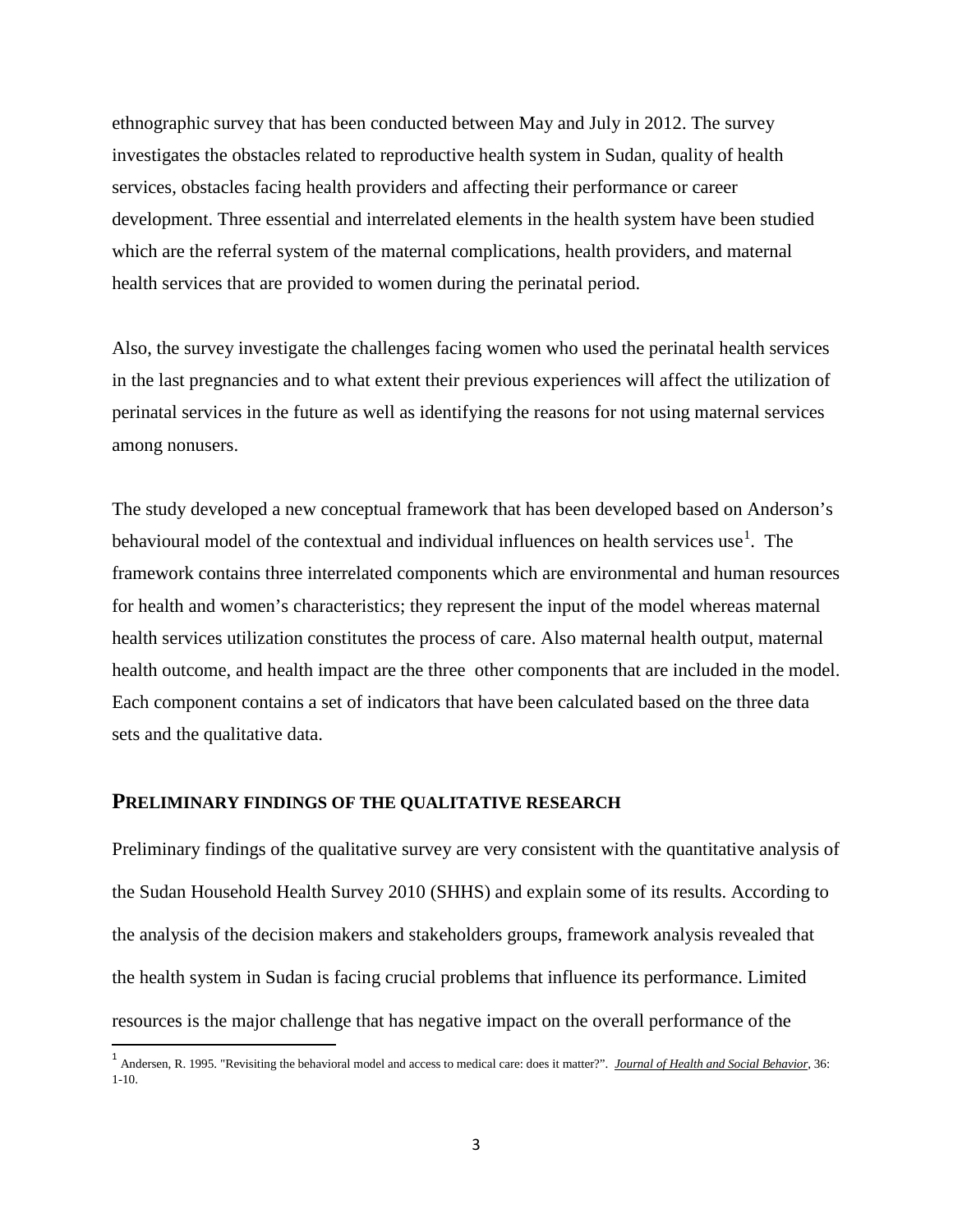ethnographic survey that has been conducted between May and July in 2012. The survey investigates the obstacles related to reproductive health system in Sudan, quality of health services, obstacles facing health providers and affecting their performance or career development. Three essential and interrelated elements in the health system have been studied which are the referral system of the maternal complications, health providers, and maternal health services that are provided to women during the perinatal period.

Also, the survey investigate the challenges facing women who used the perinatal health services in the last pregnancies and to what extent their previous experiences will affect the utilization of perinatal services in the future as well as identifying the reasons for not using maternal services among nonusers.

The study developed a new conceptual framework that has been developed based on Anderson's behavioural model of the contextual and individual influences on health services use<sup>[1](#page-2-0)</sup>. The framework contains three interrelated components which are environmental and human resources for health and women's characteristics; they represent the input of the model whereas maternal health services utilization constitutes the process of care. Also maternal health output, maternal health outcome, and health impact are the three other components that are included in the model. Each component contains a set of indicators that have been calculated based on the three data sets and the qualitative data.

#### **PRELIMINARY FINDINGS OF THE QUALITATIVE RESEARCH**

Preliminary findings of the qualitative survey are very consistent with the quantitative analysis of the Sudan Household Health Survey 2010 (SHHS) and explain some of its results. According to the analysis of the decision makers and stakeholders groups, framework analysis revealed that the health system in Sudan is facing crucial problems that influence its performance. Limited resources is the major challenge that has negative impact on the overall performance of the

<span id="page-2-0"></span> <sup>1</sup> Andersen, R. 1995. "Revisiting the behavioral model and access to medical care: does it matter?". *Journal of Health and Social Behavior*, 36: 1-10.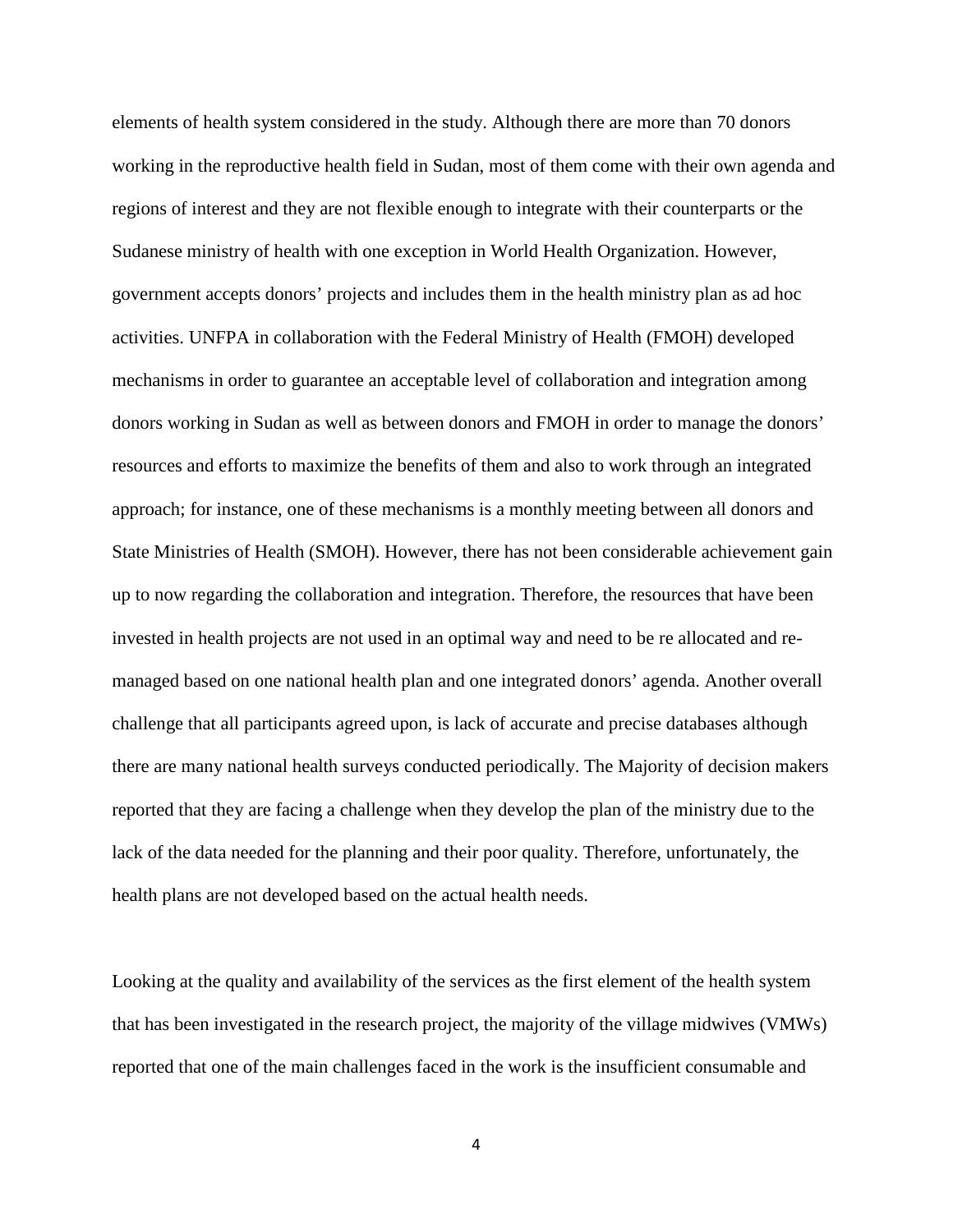elements of health system considered in the study. Although there are more than 70 donors working in the reproductive health field in Sudan, most of them come with their own agenda and regions of interest and they are not flexible enough to integrate with their counterparts or the Sudanese ministry of health with one exception in World Health Organization. However, government accepts donors' projects and includes them in the health ministry plan as ad hoc activities. UNFPA in collaboration with the Federal Ministry of Health (FMOH) developed mechanisms in order to guarantee an acceptable level of collaboration and integration among donors working in Sudan as well as between donors and FMOH in order to manage the donors' resources and efforts to maximize the benefits of them and also to work through an integrated approach; for instance, one of these mechanisms is a monthly meeting between all donors and State Ministries of Health (SMOH). However, there has not been considerable achievement gain up to now regarding the collaboration and integration. Therefore, the resources that have been invested in health projects are not used in an optimal way and need to be re allocated and remanaged based on one national health plan and one integrated donors' agenda. Another overall challenge that all participants agreed upon, is lack of accurate and precise databases although there are many national health surveys conducted periodically. The Majority of decision makers reported that they are facing a challenge when they develop the plan of the ministry due to the lack of the data needed for the planning and their poor quality. Therefore, unfortunately, the health plans are not developed based on the actual health needs.

Looking at the quality and availability of the services as the first element of the health system that has been investigated in the research project, the majority of the village midwives (VMWs) reported that one of the main challenges faced in the work is the insufficient consumable and

4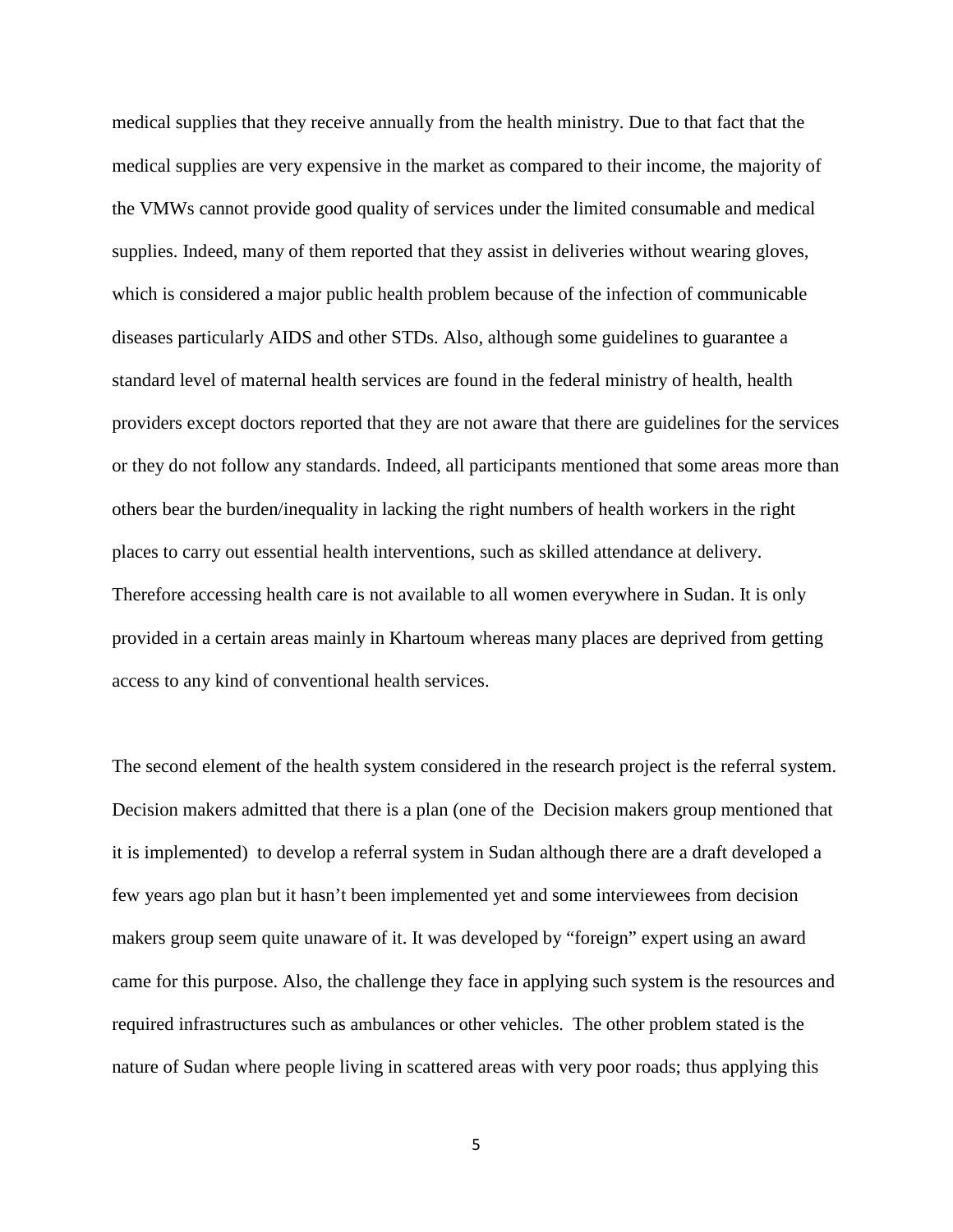medical supplies that they receive annually from the health ministry. Due to that fact that the medical supplies are very expensive in the market as compared to their income, the majority of the VMWs cannot provide good quality of services under the limited consumable and medical supplies. Indeed, many of them reported that they assist in deliveries without wearing gloves, which is considered a major public health problem because of the infection of communicable diseases particularly AIDS and other STDs. Also, although some guidelines to guarantee a standard level of maternal health services are found in the federal ministry of health, health providers except doctors reported that they are not aware that there are guidelines for the services or they do not follow any standards. Indeed, all participants mentioned that some areas more than others bear the burden/inequality in lacking the right numbers of health workers in the right places to carry out essential health interventions, such as skilled attendance at delivery. Therefore accessing health care is not available to all women everywhere in Sudan. It is only provided in a certain areas mainly in Khartoum whereas many places are deprived from getting access to any kind of conventional health services.

The second element of the health system considered in the research project is the referral system. Decision makers admitted that there is a plan (one of the Decision makers group mentioned that it is implemented) to develop a referral system in Sudan although there are a draft developed a few years ago plan but it hasn't been implemented yet and some interviewees from decision makers group seem quite unaware of it. It was developed by "foreign" expert using an award came for this purpose. Also, the challenge they face in applying such system is the resources and required infrastructures such as ambulances or other vehicles. The other problem stated is the nature of Sudan where people living in scattered areas with very poor roads; thus applying this

5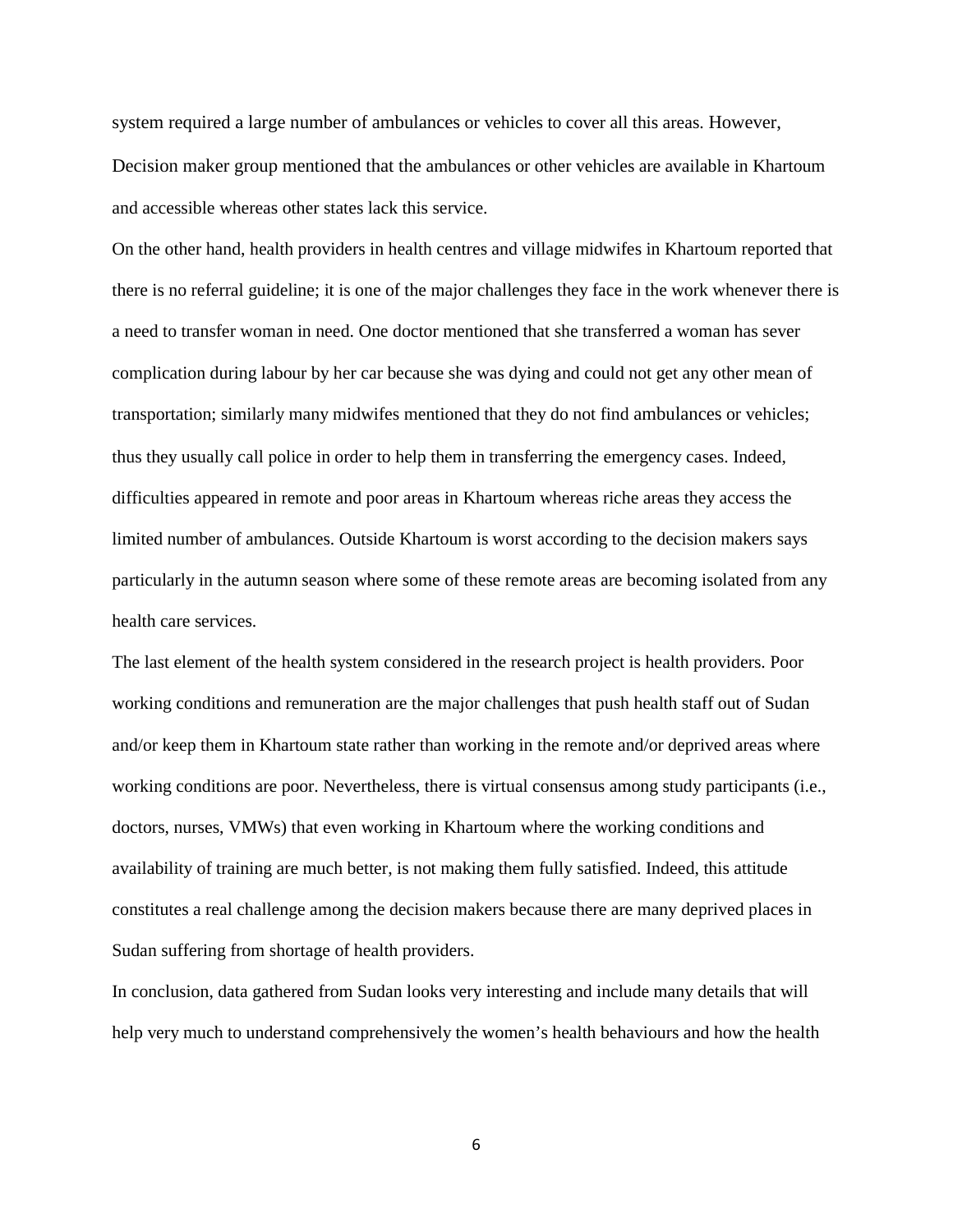system required a large number of ambulances or vehicles to cover all this areas. However, Decision maker group mentioned that the ambulances or other vehicles are available in Khartoum and accessible whereas other states lack this service.

On the other hand, health providers in health centres and village midwifes in Khartoum reported that there is no referral guideline; it is one of the major challenges they face in the work whenever there is a need to transfer woman in need. One doctor mentioned that she transferred a woman has sever complication during labour by her car because she was dying and could not get any other mean of transportation; similarly many midwifes mentioned that they do not find ambulances or vehicles; thus they usually call police in order to help them in transferring the emergency cases. Indeed, difficulties appeared in remote and poor areas in Khartoum whereas riche areas they access the limited number of ambulances. Outside Khartoum is worst according to the decision makers says particularly in the autumn season where some of these remote areas are becoming isolated from any health care services.

The last element of the health system considered in the research project is health providers. Poor working conditions and remuneration are the major challenges that push health staff out of Sudan and/or keep them in Khartoum state rather than working in the remote and/or deprived areas where working conditions are poor. Nevertheless, there is virtual consensus among study participants (i.e., doctors, nurses, VMWs) that even working in Khartoum where the working conditions and availability of training are much better, is not making them fully satisfied. Indeed, this attitude constitutes a real challenge among the decision makers because there are many deprived places in Sudan suffering from shortage of health providers.

In conclusion, data gathered from Sudan looks very interesting and include many details that will help very much to understand comprehensively the women's health behaviours and how the health

6